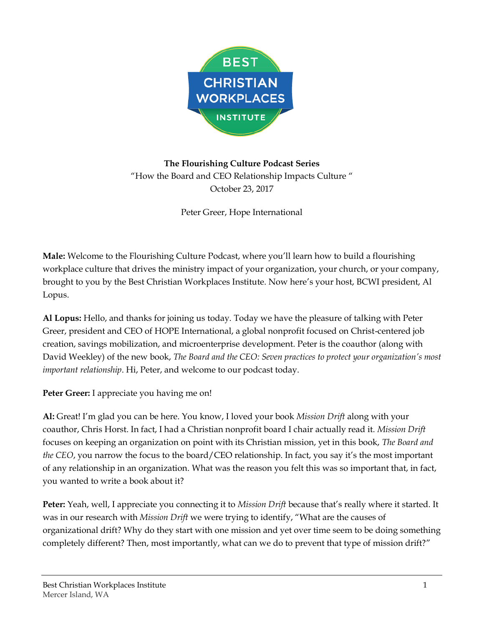

**The Flourishing Culture Podcast Series** "How the Board and CEO Relationship Impacts Culture " October 23, 2017

Peter Greer, Hope International

**Male:** Welcome to the Flourishing Culture Podcast, where you'll learn how to build a flourishing workplace culture that drives the ministry impact of your organization, your church, or your company, brought to you by the Best Christian Workplaces Institute. Now here's your host, BCWI president, Al Lopus.

**Al Lopus:** Hello, and thanks for joining us today. Today we have the pleasure of talking with Peter Greer, president and CEO of HOPE International, a global nonprofit focused on Christ-centered job creation, savings mobilization, and microenterprise development. Peter is the coauthor (along with David Weekley) of the new book, *The Board and the CEO: Seven practices to protect your organization's most important relationship*. Hi, Peter, and welcome to our podcast today.

**Peter Greer:** I appreciate you having me on!

**Al:** Great! I'm glad you can be here. You know, I loved your book *Mission Drift* along with your coauthor, Chris Horst. In fact, I had a Christian nonprofit board I chair actually read it. *Mission Drift* focuses on keeping an organization on point with its Christian mission, yet in this book, *The Board and the CEO*, you narrow the focus to the board/CEO relationship. In fact, you say it's the most important of any relationship in an organization. What was the reason you felt this was so important that, in fact, you wanted to write a book about it?

**Peter:** Yeah, well, I appreciate you connecting it to *Mission Drift* because that's really where it started. It was in our research with *Mission Drift* we were trying to identify, "What are the causes of organizational drift? Why do they start with one mission and yet over time seem to be doing something completely different? Then, most importantly, what can we do to prevent that type of mission drift?"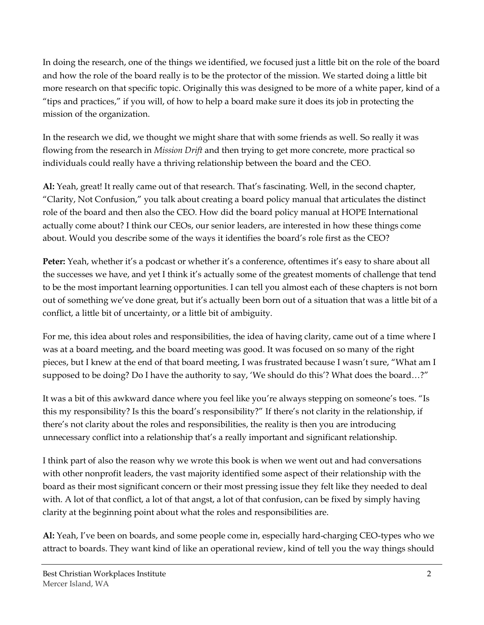In doing the research, one of the things we identified, we focused just a little bit on the role of the board and how the role of the board really is to be the protector of the mission. We started doing a little bit more research on that specific topic. Originally this was designed to be more of a white paper, kind of a "tips and practices," if you will, of how to help a board make sure it does its job in protecting the mission of the organization.

In the research we did, we thought we might share that with some friends as well. So really it was flowing from the research in *Mission Drift* and then trying to get more concrete, more practical so individuals could really have a thriving relationship between the board and the CEO.

**Al:** Yeah, great! It really came out of that research. That's fascinating. Well, in the second chapter, "Clarity, Not Confusion," you talk about creating a board policy manual that articulates the distinct role of the board and then also the CEO. How did the board policy manual at HOPE International actually come about? I think our CEOs, our senior leaders, are interested in how these things come about. Would you describe some of the ways it identifies the board's role first as the CEO?

Peter: Yeah, whether it's a podcast or whether it's a conference, oftentimes it's easy to share about all the successes we have, and yet I think it's actually some of the greatest moments of challenge that tend to be the most important learning opportunities. I can tell you almost each of these chapters is not born out of something we've done great, but it's actually been born out of a situation that was a little bit of a conflict, a little bit of uncertainty, or a little bit of ambiguity.

For me, this idea about roles and responsibilities, the idea of having clarity, came out of a time where I was at a board meeting, and the board meeting was good. It was focused on so many of the right pieces, but I knew at the end of that board meeting, I was frustrated because I wasn't sure, "What am I supposed to be doing? Do I have the authority to say, 'We should do this'? What does the board…?"

It was a bit of this awkward dance where you feel like you're always stepping on someone's toes. "Is this my responsibility? Is this the board's responsibility?" If there's not clarity in the relationship, if there's not clarity about the roles and responsibilities, the reality is then you are introducing unnecessary conflict into a relationship that's a really important and significant relationship.

I think part of also the reason why we wrote this book is when we went out and had conversations with other nonprofit leaders, the vast majority identified some aspect of their relationship with the board as their most significant concern or their most pressing issue they felt like they needed to deal with. A lot of that conflict, a lot of that angst, a lot of that confusion, can be fixed by simply having clarity at the beginning point about what the roles and responsibilities are.

**Al:** Yeah, I've been on boards, and some people come in, especially hard-charging CEO-types who we attract to boards. They want kind of like an operational review, kind of tell you the way things should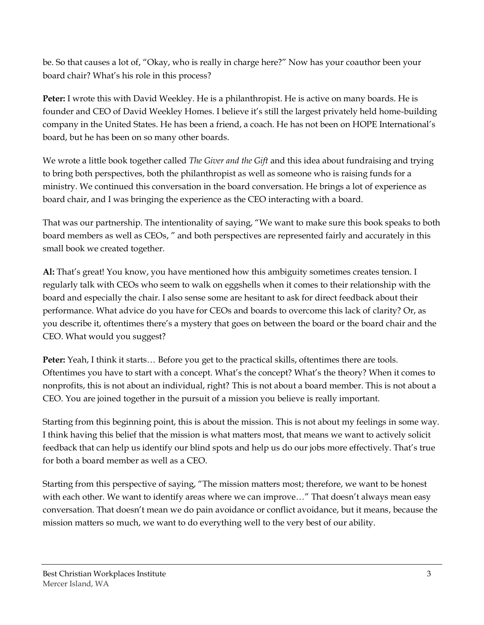be. So that causes a lot of, "Okay, who is really in charge here?" Now has your coauthor been your board chair? What's his role in this process?

**Peter:** I wrote this with David Weekley. He is a philanthropist. He is active on many boards. He is founder and CEO of David Weekley Homes. I believe it's still the largest privately held home-building company in the United States. He has been a friend, a coach. He has not been on HOPE International's board, but he has been on so many other boards.

We wrote a little book together called *The Giver and the Gift* and this idea about fundraising and trying to bring both perspectives, both the philanthropist as well as someone who is raising funds for a ministry. We continued this conversation in the board conversation. He brings a lot of experience as board chair, and I was bringing the experience as the CEO interacting with a board.

That was our partnership. The intentionality of saying, "We want to make sure this book speaks to both board members as well as CEOs, " and both perspectives are represented fairly and accurately in this small book we created together.

**Al:** That's great! You know, you have mentioned how this ambiguity sometimes creates tension. I regularly talk with CEOs who seem to walk on eggshells when it comes to their relationship with the board and especially the chair. I also sense some are hesitant to ask for direct feedback about their performance. What advice do you have for CEOs and boards to overcome this lack of clarity? Or, as you describe it, oftentimes there's a mystery that goes on between the board or the board chair and the CEO. What would you suggest?

**Peter:** Yeah, I think it starts… Before you get to the practical skills, oftentimes there are tools. Oftentimes you have to start with a concept. What's the concept? What's the theory? When it comes to nonprofits, this is not about an individual, right? This is not about a board member. This is not about a CEO. You are joined together in the pursuit of a mission you believe is really important.

Starting from this beginning point, this is about the mission. This is not about my feelings in some way. I think having this belief that the mission is what matters most, that means we want to actively solicit feedback that can help us identify our blind spots and help us do our jobs more effectively. That's true for both a board member as well as a CEO.

Starting from this perspective of saying, "The mission matters most; therefore, we want to be honest with each other. We want to identify areas where we can improve…" That doesn't always mean easy conversation. That doesn't mean we do pain avoidance or conflict avoidance, but it means, because the mission matters so much, we want to do everything well to the very best of our ability.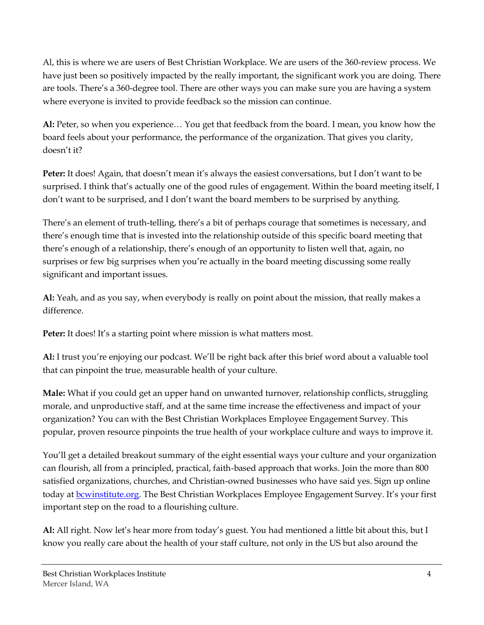Al, this is where we are users of Best Christian Workplace. We are users of the 360-review process. We have just been so positively impacted by the really important, the significant work you are doing. There are tools. There's a 360-degree tool. There are other ways you can make sure you are having a system where everyone is invited to provide feedback so the mission can continue.

**Al:** Peter, so when you experience… You get that feedback from the board. I mean, you know how the board feels about your performance, the performance of the organization. That gives you clarity, doesn't it?

**Peter:** It does! Again, that doesn't mean it's always the easiest conversations, but I don't want to be surprised. I think that's actually one of the good rules of engagement. Within the board meeting itself, I don't want to be surprised, and I don't want the board members to be surprised by anything.

There's an element of truth-telling, there's a bit of perhaps courage that sometimes is necessary, and there's enough time that is invested into the relationship outside of this specific board meeting that there's enough of a relationship, there's enough of an opportunity to listen well that, again, no surprises or few big surprises when you're actually in the board meeting discussing some really significant and important issues.

**Al:** Yeah, and as you say, when everybody is really on point about the mission, that really makes a difference.

Peter: It does! It's a starting point where mission is what matters most.

**Al:** I trust you're enjoying our podcast. We'll be right back after this brief word about a valuable tool that can pinpoint the true, measurable health of your culture.

**Male:** What if you could get an upper hand on unwanted turnover, relationship conflicts, struggling morale, and unproductive staff, and at the same time increase the effectiveness and impact of your organization? You can with the Best Christian Workplaces Employee Engagement Survey. This popular, proven resource pinpoints the true health of your workplace culture and ways to improve it.

You'll get a detailed breakout summary of the eight essential ways your culture and your organization can flourish, all from a principled, practical, faith-based approach that works. Join the more than 800 satisfied organizations, churches, and Christian-owned businesses who have said yes. Sign up online today at **bcwinstitute.org**. The Best Christian Workplaces Employee Engagement Survey. It's your first important step on the road to a flourishing culture.

**Al:** All right. Now let's hear more from today's guest. You had mentioned a little bit about this, but I know you really care about the health of your staff culture, not only in the US but also around the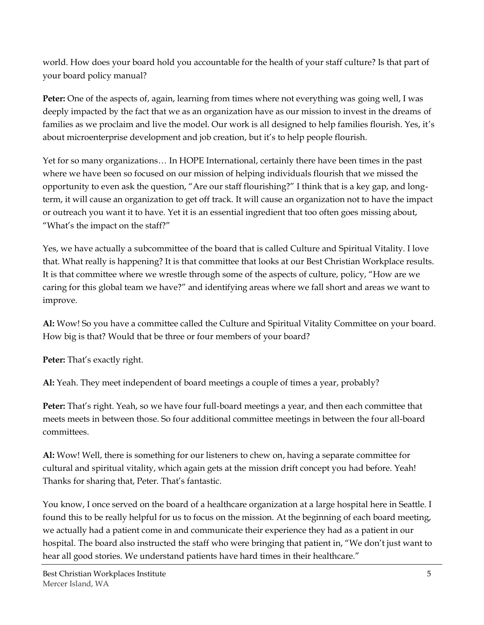world. How does your board hold you accountable for the health of your staff culture? Is that part of your board policy manual?

**Peter:** One of the aspects of, again, learning from times where not everything was going well, I was deeply impacted by the fact that we as an organization have as our mission to invest in the dreams of families as we proclaim and live the model. Our work is all designed to help families flourish. Yes, it's about microenterprise development and job creation, but it's to help people flourish.

Yet for so many organizations… In HOPE International, certainly there have been times in the past where we have been so focused on our mission of helping individuals flourish that we missed the opportunity to even ask the question, "Are our staff flourishing?" I think that is a key gap, and longterm, it will cause an organization to get off track. It will cause an organization not to have the impact or outreach you want it to have. Yet it is an essential ingredient that too often goes missing about, "What's the impact on the staff?"

Yes, we have actually a subcommittee of the board that is called Culture and Spiritual Vitality. I love that. What really is happening? It is that committee that looks at our Best Christian Workplace results. It is that committee where we wrestle through some of the aspects of culture, policy, "How are we caring for this global team we have?" and identifying areas where we fall short and areas we want to improve.

**Al:** Wow! So you have a committee called the Culture and Spiritual Vitality Committee on your board. How big is that? Would that be three or four members of your board?

**Peter:** That's exactly right.

**Al:** Yeah. They meet independent of board meetings a couple of times a year, probably?

**Peter:** That's right. Yeah, so we have four full-board meetings a year, and then each committee that meets meets in between those. So four additional committee meetings in between the four all-board committees.

**Al:** Wow! Well, there is something for our listeners to chew on, having a separate committee for cultural and spiritual vitality, which again gets at the mission drift concept you had before. Yeah! Thanks for sharing that, Peter. That's fantastic.

You know, I once served on the board of a healthcare organization at a large hospital here in Seattle. I found this to be really helpful for us to focus on the mission. At the beginning of each board meeting, we actually had a patient come in and communicate their experience they had as a patient in our hospital. The board also instructed the staff who were bringing that patient in, "We don't just want to hear all good stories. We understand patients have hard times in their healthcare."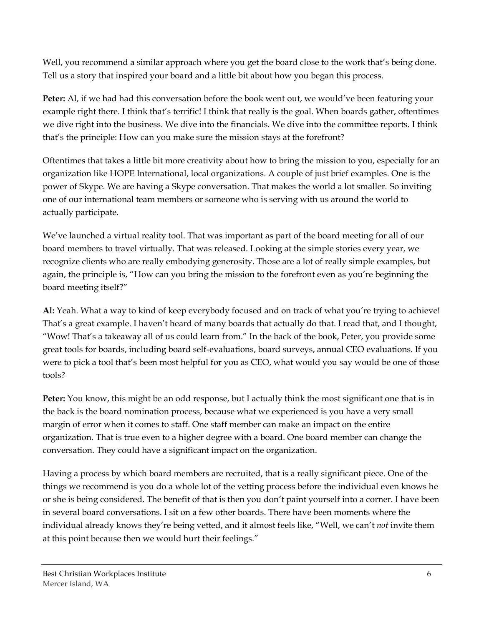Well, you recommend a similar approach where you get the board close to the work that's being done. Tell us a story that inspired your board and a little bit about how you began this process.

**Peter:** Al, if we had had this conversation before the book went out, we would've been featuring your example right there. I think that's terrific! I think that really is the goal. When boards gather, oftentimes we dive right into the business. We dive into the financials. We dive into the committee reports. I think that's the principle: How can you make sure the mission stays at the forefront?

Oftentimes that takes a little bit more creativity about how to bring the mission to you, especially for an organization like HOPE International, local organizations. A couple of just brief examples. One is the power of Skype. We are having a Skype conversation. That makes the world a lot smaller. So inviting one of our international team members or someone who is serving with us around the world to actually participate.

We've launched a virtual reality tool. That was important as part of the board meeting for all of our board members to travel virtually. That was released. Looking at the simple stories every year, we recognize clients who are really embodying generosity. Those are a lot of really simple examples, but again, the principle is, "How can you bring the mission to the forefront even as you're beginning the board meeting itself?"

**Al:** Yeah. What a way to kind of keep everybody focused and on track of what you're trying to achieve! That's a great example. I haven't heard of many boards that actually do that. I read that, and I thought, "Wow! That's a takeaway all of us could learn from." In the back of the book, Peter, you provide some great tools for boards, including board self-evaluations, board surveys, annual CEO evaluations. If you were to pick a tool that's been most helpful for you as CEO, what would you say would be one of those tools?

**Peter:** You know, this might be an odd response, but I actually think the most significant one that is in the back is the board nomination process, because what we experienced is you have a very small margin of error when it comes to staff. One staff member can make an impact on the entire organization. That is true even to a higher degree with a board. One board member can change the conversation. They could have a significant impact on the organization.

Having a process by which board members are recruited, that is a really significant piece. One of the things we recommend is you do a whole lot of the vetting process before the individual even knows he or she is being considered. The benefit of that is then you don't paint yourself into a corner. I have been in several board conversations. I sit on a few other boards. There have been moments where the individual already knows they're being vetted, and it almost feels like, "Well, we can't *not* invite them at this point because then we would hurt their feelings."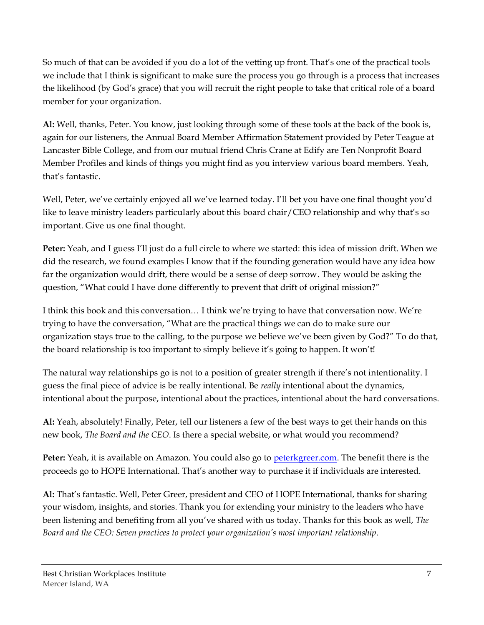So much of that can be avoided if you do a lot of the vetting up front. That's one of the practical tools we include that I think is significant to make sure the process you go through is a process that increases the likelihood (by God's grace) that you will recruit the right people to take that critical role of a board member for your organization.

**Al:** Well, thanks, Peter. You know, just looking through some of these tools at the back of the book is, again for our listeners, the Annual Board Member Affirmation Statement provided by Peter Teague at Lancaster Bible College, and from our mutual friend Chris Crane at Edify are Ten Nonprofit Board Member Profiles and kinds of things you might find as you interview various board members. Yeah, that's fantastic.

Well, Peter, we've certainly enjoyed all we've learned today. I'll bet you have one final thought you'd like to leave ministry leaders particularly about this board chair/CEO relationship and why that's so important. Give us one final thought.

**Peter:** Yeah, and I guess I'll just do a full circle to where we started: this idea of mission drift. When we did the research, we found examples I know that if the founding generation would have any idea how far the organization would drift, there would be a sense of deep sorrow. They would be asking the question, "What could I have done differently to prevent that drift of original mission?"

I think this book and this conversation… I think we're trying to have that conversation now. We're trying to have the conversation, "What are the practical things we can do to make sure our organization stays true to the calling, to the purpose we believe we've been given by God?" To do that, the board relationship is too important to simply believe it's going to happen. It won't!

The natural way relationships go is not to a position of greater strength if there's not intentionality. I guess the final piece of advice is be really intentional. Be *really* intentional about the dynamics, intentional about the purpose, intentional about the practices, intentional about the hard conversations.

**Al:** Yeah, absolutely! Finally, Peter, tell our listeners a few of the best ways to get their hands on this new book, *The Board and the CEO*. Is there a special website, or what would you recommend?

**Peter:** Yeah, it is available on Amazon. You could also go to [peterkgreer.com.](http://www.peterkgreer.com/) The benefit there is the proceeds go to HOPE International. That's another way to purchase it if individuals are interested.

**Al:** That's fantastic. Well, Peter Greer, president and CEO of HOPE International, thanks for sharing your wisdom, insights, and stories. Thank you for extending your ministry to the leaders who have been listening and benefiting from all you've shared with us today. Thanks for this book as well, *The Board and the CEO: Seven practices to protect your organization's most important relationship*.